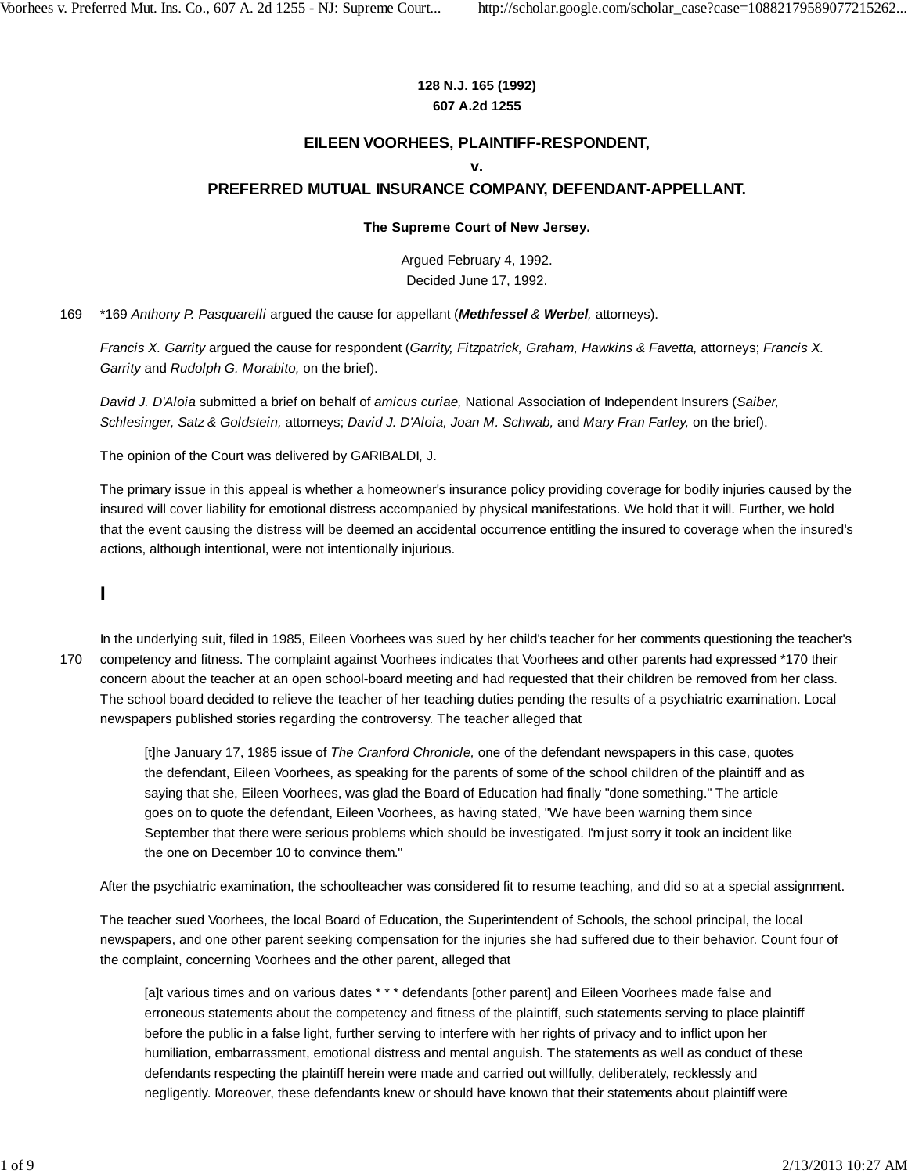#### **128 N.J. 165 (1992) 607 A.2d 1255**

### **EILEEN VOORHEES, PLAINTIFF-RESPONDENT,**

#### **v.**

#### **PREFERRED MUTUAL INSURANCE COMPANY, DEFENDANT-APPELLANT.**

#### **The Supreme Court of New Jersey.**

Argued February 4, 1992. Decided June 17, 1992.

169 \*169 *Anthony P. Pasquarelli* argued the cause for appellant (*Methfessel & Werbel,* attorneys).

*Francis X. Garrity* argued the cause for respondent (*Garrity, Fitzpatrick, Graham, Hawkins & Favetta,* attorneys; *Francis X. Garrity* and *Rudolph G. Morabito,* on the brief).

*David J. D'Aloia* submitted a brief on behalf of *amicus curiae,* National Association of Independent Insurers (*Saiber, Schlesinger, Satz & Goldstein,* attorneys; *David J. D'Aloia, Joan M. Schwab,* and *Mary Fran Farley,* on the brief).

The opinion of the Court was delivered by GARIBALDI, J.

The primary issue in this appeal is whether a homeowner's insurance policy providing coverage for bodily injuries caused by the insured will cover liability for emotional distress accompanied by physical manifestations. We hold that it will. Further, we hold that the event causing the distress will be deemed an accidental occurrence entitling the insured to coverage when the insured's actions, although intentional, were not intentionally injurious.

# **I**

170

In the underlying suit, filed in 1985, Eileen Voorhees was sued by her child's teacher for her comments questioning the teacher's competency and fitness. The complaint against Voorhees indicates that Voorhees and other parents had expressed \*170 their concern about the teacher at an open school-board meeting and had requested that their children be removed from her class. The school board decided to relieve the teacher of her teaching duties pending the results of a psychiatric examination. Local newspapers published stories regarding the controversy. The teacher alleged that

[t]he January 17, 1985 issue of *The Cranford Chronicle,* one of the defendant newspapers in this case, quotes the defendant, Eileen Voorhees, as speaking for the parents of some of the school children of the plaintiff and as saying that she, Eileen Voorhees, was glad the Board of Education had finally "done something." The article goes on to quote the defendant, Eileen Voorhees, as having stated, "We have been warning them since September that there were serious problems which should be investigated. I'm just sorry it took an incident like the one on December 10 to convince them."

After the psychiatric examination, the schoolteacher was considered fit to resume teaching, and did so at a special assignment.

The teacher sued Voorhees, the local Board of Education, the Superintendent of Schools, the school principal, the local newspapers, and one other parent seeking compensation for the injuries she had suffered due to their behavior. Count four of the complaint, concerning Voorhees and the other parent, alleged that

[a]t various times and on various dates \* \* \* defendants [other parent] and Eileen Voorhees made false and erroneous statements about the competency and fitness of the plaintiff, such statements serving to place plaintiff before the public in a false light, further serving to interfere with her rights of privacy and to inflict upon her humiliation, embarrassment, emotional distress and mental anguish. The statements as well as conduct of these defendants respecting the plaintiff herein were made and carried out willfully, deliberately, recklessly and negligently. Moreover, these defendants knew or should have known that their statements about plaintiff were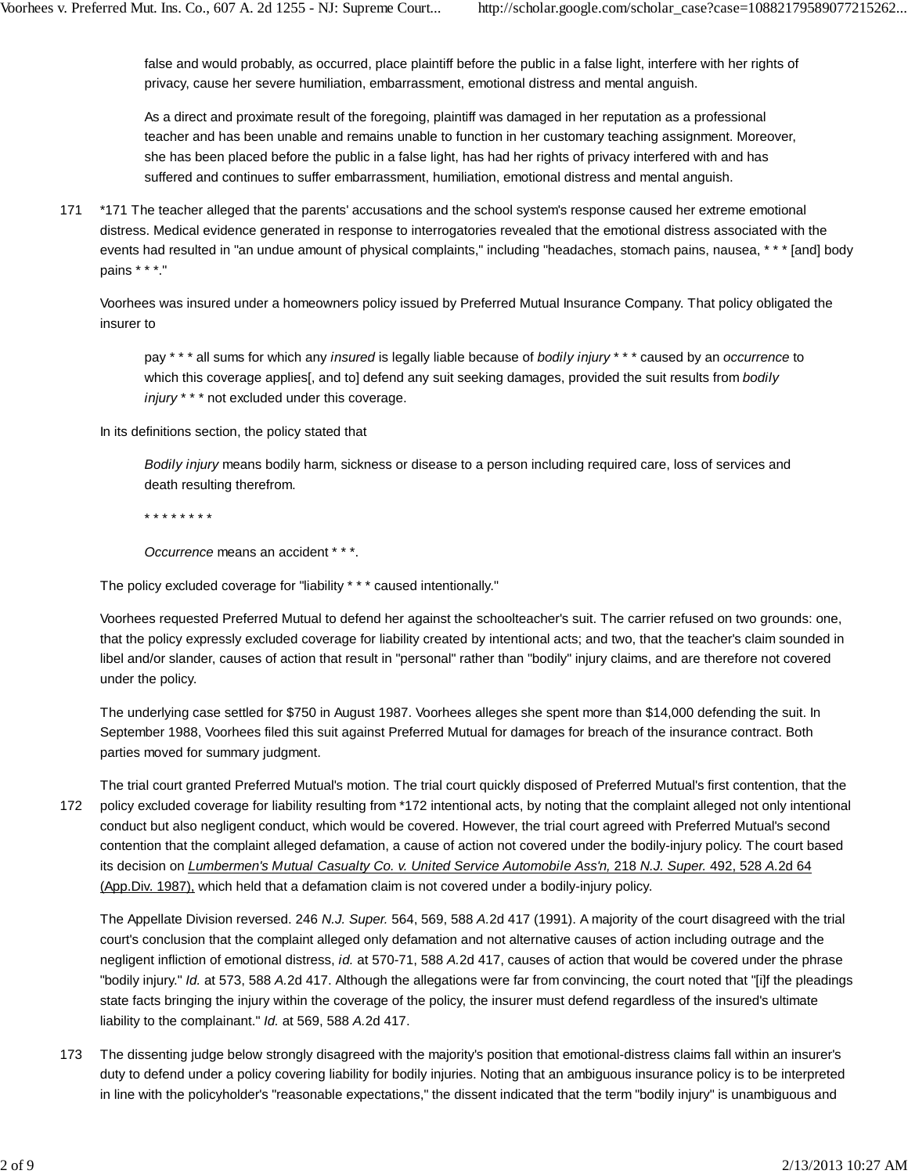false and would probably, as occurred, place plaintiff before the public in a false light, interfere with her rights of privacy, cause her severe humiliation, embarrassment, emotional distress and mental anguish.

As a direct and proximate result of the foregoing, plaintiff was damaged in her reputation as a professional teacher and has been unable and remains unable to function in her customary teaching assignment. Moreover, she has been placed before the public in a false light, has had her rights of privacy interfered with and has suffered and continues to suffer embarrassment, humiliation, emotional distress and mental anguish.

\*171 The teacher alleged that the parents' accusations and the school system's response caused her extreme emotional distress. Medical evidence generated in response to interrogatories revealed that the emotional distress associated with the events had resulted in "an undue amount of physical complaints," including "headaches, stomach pains, nausea, \* \* \* [and] body pains \* \* \*." 171

Voorhees was insured under a homeowners policy issued by Preferred Mutual Insurance Company. That policy obligated the insurer to

pay \* \* \* all sums for which any *insured* is legally liable because of *bodily injury* \* \* \* caused by an *occurrence* to which this coverage applies[, and to] defend any suit seeking damages, provided the suit results from *bodily injury* \* \* \* not excluded under this coverage.

In its definitions section, the policy stated that

*Bodily injury* means bodily harm, sickness or disease to a person including required care, loss of services and death resulting therefrom.

\* \* \* \* \* \* \* \*

*Occurrence* means an accident \* \* \*.

The policy excluded coverage for "liability \* \* \* caused intentionally."

Voorhees requested Preferred Mutual to defend her against the schoolteacher's suit. The carrier refused on two grounds: one, that the policy expressly excluded coverage for liability created by intentional acts; and two, that the teacher's claim sounded in libel and/or slander, causes of action that result in "personal" rather than "bodily" injury claims, and are therefore not covered under the policy.

The underlying case settled for \$750 in August 1987. Voorhees alleges she spent more than \$14,000 defending the suit. In September 1988, Voorhees filed this suit against Preferred Mutual for damages for breach of the insurance contract. Both parties moved for summary judgment.

The trial court granted Preferred Mutual's motion. The trial court quickly disposed of Preferred Mutual's first contention, that the policy excluded coverage for liability resulting from \*172 intentional acts, by noting that the complaint alleged not only intentional conduct but also negligent conduct, which would be covered. However, the trial court agreed with Preferred Mutual's second contention that the complaint alleged defamation, a cause of action not covered under the bodily-injury policy. The court based its decision on *Lumbermen's Mutual Casualty Co. v. United Service Automobile Ass'n,* 218 *N.J. Super.* 492, 528 *A.*2d 64 (App.Div. 1987), which held that a defamation claim is not covered under a bodily-injury policy. 172

The Appellate Division reversed. 246 *N.J. Super.* 564, 569, 588 *A.*2d 417 (1991). A majority of the court disagreed with the trial court's conclusion that the complaint alleged only defamation and not alternative causes of action including outrage and the negligent infliction of emotional distress, *id.* at 570-71, 588 *A.*2d 417, causes of action that would be covered under the phrase "bodily injury." *Id.* at 573, 588 *A.*2d 417. Although the allegations were far from convincing, the court noted that "[i]f the pleadings state facts bringing the injury within the coverage of the policy, the insurer must defend regardless of the insured's ultimate liability to the complainant." *Id.* at 569, 588 *A.*2d 417.

The dissenting judge below strongly disagreed with the majority's position that emotional-distress claims fall within an insurer's duty to defend under a policy covering liability for bodily injuries. Noting that an ambiguous insurance policy is to be interpreted in line with the policyholder's "reasonable expectations," the dissent indicated that the term "bodily injury" is unambiguous and 173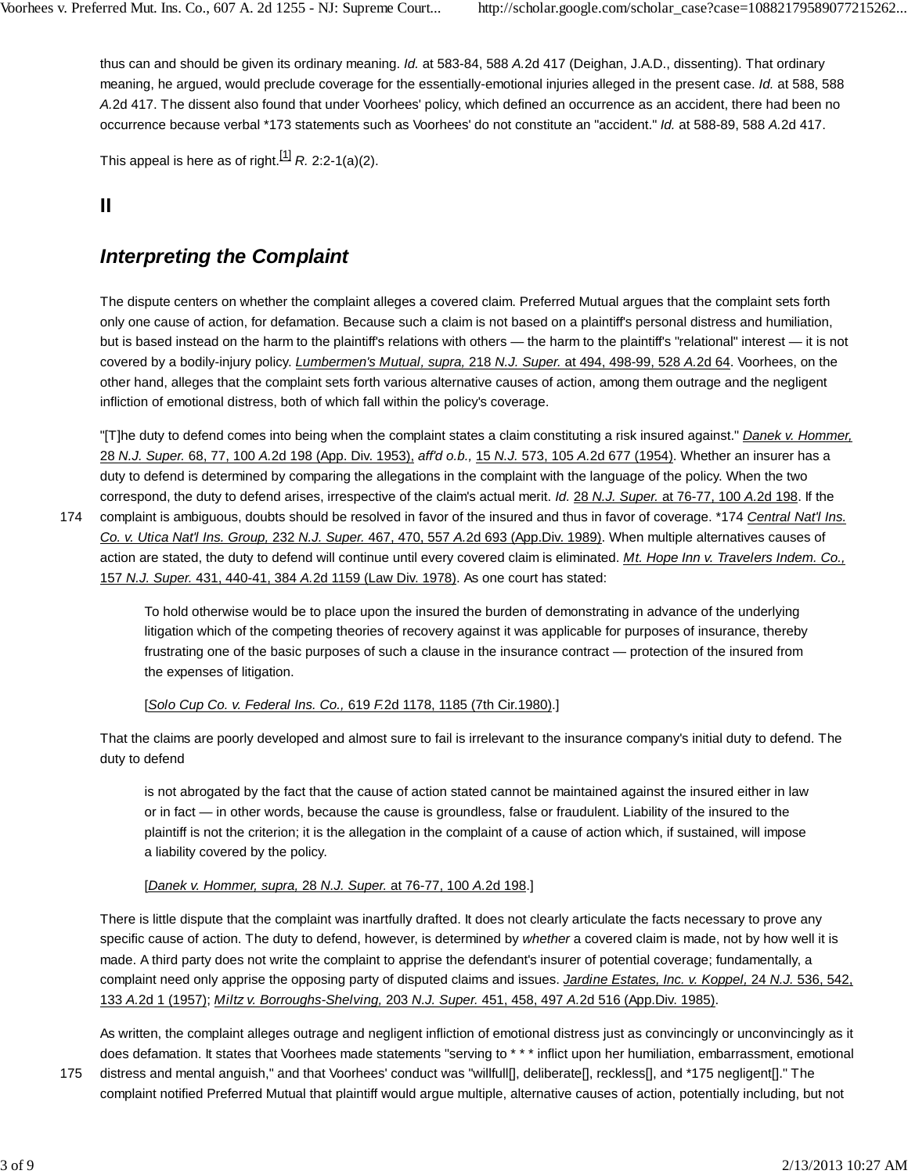thus can and should be given its ordinary meaning. *Id.* at 583-84, 588 *A.*2d 417 (Deighan, J.A.D., dissenting). That ordinary meaning, he argued, would preclude coverage for the essentially-emotional injuries alleged in the present case. *Id.* at 588, 588 *A.*2d 417. The dissent also found that under Voorhees' policy, which defined an occurrence as an accident, there had been no occurrence because verbal \*173 statements such as Voorhees' do not constitute an "accident." *Id.* at 588-89, 588 *A.*2d 417.

This appeal is here as of right.<sup>[1]</sup>  $R$ . 2:2-1(a)(2).

### **II**

## *Interpreting the Complaint*

The dispute centers on whether the complaint alleges a covered claim. Preferred Mutual argues that the complaint sets forth only one cause of action, for defamation. Because such a claim is not based on a plaintiff's personal distress and humiliation, but is based instead on the harm to the plaintiff's relations with others — the harm to the plaintiff's "relational" interest — it is not covered by a bodily-injury policy. *Lumbermen's Mutual, supra,* 218 *N.J. Super.* at 494, 498-99, 528 *A.*2d 64. Voorhees, on the other hand, alleges that the complaint sets forth various alternative causes of action, among them outrage and the negligent infliction of emotional distress, both of which fall within the policy's coverage.

"[T]he duty to defend comes into being when the complaint states a claim constituting a risk insured against." *Danek v. Hommer,* 28 *N.J. Super.* 68, 77, 100 *A.*2d 198 (App. Div. 1953), *aff'd o.b.,* 15 *N.J.* 573, 105 *A.*2d 677 (1954). Whether an insurer has a duty to defend is determined by comparing the allegations in the complaint with the language of the policy. When the two correspond, the duty to defend arises, irrespective of the claim's actual merit. *Id.* 28 *N.J. Super.* at 76-77, 100 *A.*2d 198. If the

174

complaint is ambiguous, doubts should be resolved in favor of the insured and thus in favor of coverage. \*174 *Central Nat'l Ins. Co. v. Utica Nat'l Ins. Group,* 232 *N.J. Super.* 467, 470, 557 *A.*2d 693 (App.Div. 1989). When multiple alternatives causes of action are stated, the duty to defend will continue until every covered claim is eliminated. *Mt. Hope Inn v. Travelers Indem. Co.,* 157 *N.J. Super.* 431, 440-41, 384 *A.*2d 1159 (Law Div. 1978). As one court has stated:

To hold otherwise would be to place upon the insured the burden of demonstrating in advance of the underlying litigation which of the competing theories of recovery against it was applicable for purposes of insurance, thereby frustrating one of the basic purposes of such a clause in the insurance contract — protection of the insured from the expenses of litigation.

### [*Solo Cup Co. v. Federal Ins. Co.,* 619 *F.*2d 1178, 1185 (7th Cir.1980).]

That the claims are poorly developed and almost sure to fail is irrelevant to the insurance company's initial duty to defend. The duty to defend

is not abrogated by the fact that the cause of action stated cannot be maintained against the insured either in law or in fact — in other words, because the cause is groundless, false or fraudulent. Liability of the insured to the plaintiff is not the criterion; it is the allegation in the complaint of a cause of action which, if sustained, will impose a liability covered by the policy.

### [*Danek v. Hommer, supra,* 28 *N.J. Super.* at 76-77, 100 *A.*2d 198.]

There is little dispute that the complaint was inartfully drafted. It does not clearly articulate the facts necessary to prove any specific cause of action. The duty to defend, however, is determined by *whether* a covered claim is made, not by how well it is made. A third party does not write the complaint to apprise the defendant's insurer of potential coverage; fundamentally, a complaint need only apprise the opposing party of disputed claims and issues. *Jardine Estates, Inc. v. Koppel,* 24 *N.J.* 536, 542, 133 *A.*2d 1 (1957); *Miltz v. Borroughs-Shelving,* 203 *N.J. Super.* 451, 458, 497 *A.*2d 516 (App.Div. 1985).

As written, the complaint alleges outrage and negligent infliction of emotional distress just as convincingly or unconvincingly as it does defamation. It states that Voorhees made statements "serving to \* \* \* inflict upon her humiliation, embarrassment, emotional

distress and mental anguish," and that Voorhees' conduct was "willfull[], deliberate[], reckless[], and \*175 negligent[]." The complaint notified Preferred Mutual that plaintiff would argue multiple, alternative causes of action, potentially including, but not 175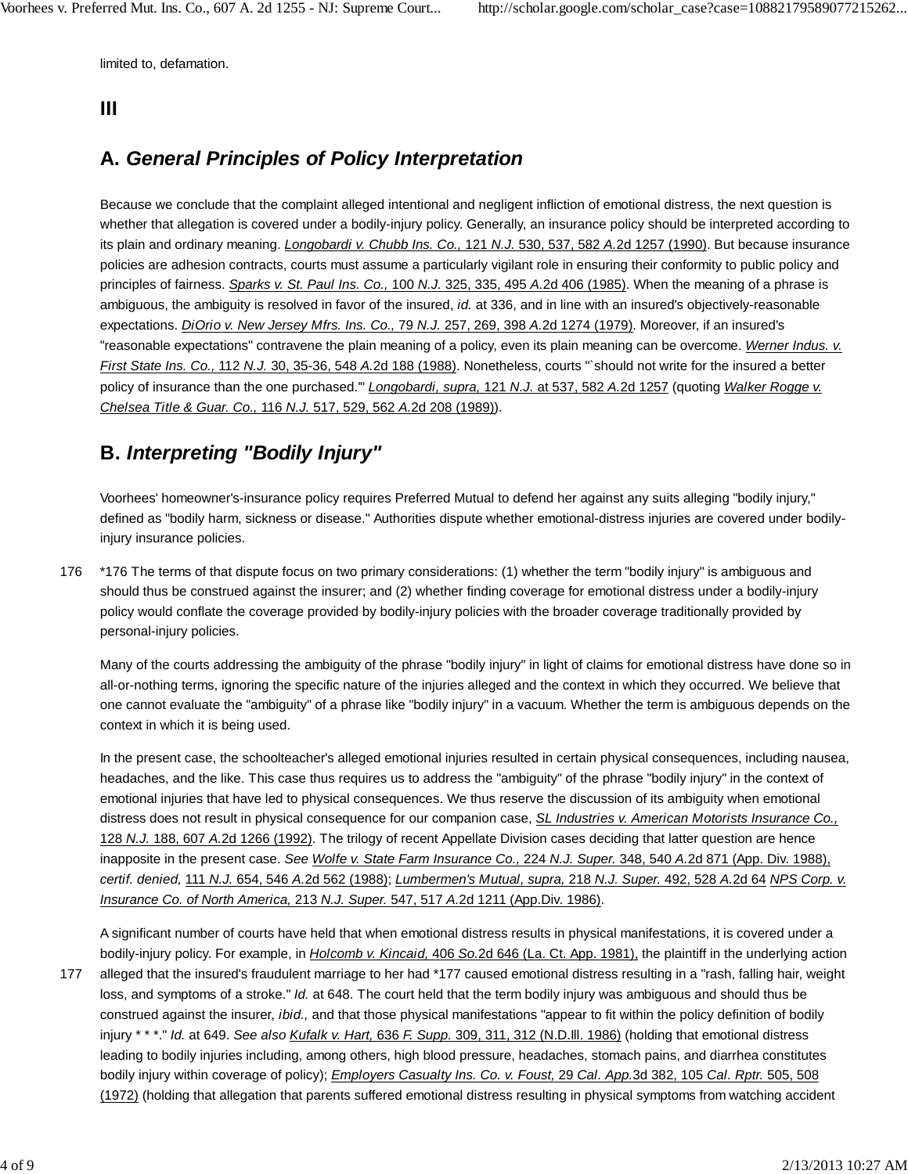limited to, defamation.

### **III**

## **A.** *General Principles of Policy Interpretation*

Because we conclude that the complaint alleged intentional and negligent infliction of emotional distress, the next question is whether that allegation is covered under a bodily-injury policy. Generally, an insurance policy should be interpreted according to its plain and ordinary meaning. *Longobardi v. Chubb Ins. Co.,* 121 *N.J.* 530, 537, 582 *A.*2d 1257 (1990). But because insurance policies are adhesion contracts, courts must assume a particularly vigilant role in ensuring their conformity to public policy and principles of fairness. *Sparks v. St. Paul Ins. Co.,* 100 *N.J.* 325, 335, 495 *A.*2d 406 (1985). When the meaning of a phrase is ambiguous, the ambiguity is resolved in favor of the insured, *id.* at 336, and in line with an insured's objectively-reasonable expectations. *DiOrio v. New Jersey Mfrs. Ins. Co.,* 79 *N.J.* 257, 269, 398 *A.*2d 1274 (1979). Moreover, if an insured's "reasonable expectations" contravene the plain meaning of a policy, even its plain meaning can be overcome. *Werner Indus. v. First State Ins. Co.,* 112 *N.J.* 30, 35-36, 548 *A.*2d 188 (1988). Nonetheless, courts "`should not write for the insured a better policy of insurance than the one purchased.'" *Longobardi, supra,* 121 *N.J.* at 537, 582 *A.*2d 1257 (quoting *Walker Rogge v. Chelsea Title & Guar. Co.,* 116 *N.J.* 517, 529, 562 *A.*2d 208 (1989)).

## **B.** *Interpreting "Bodily Injury"*

Voorhees' homeowner's-insurance policy requires Preferred Mutual to defend her against any suits alleging "bodily injury," defined as "bodily harm, sickness or disease." Authorities dispute whether emotional-distress injuries are covered under bodilyinjury insurance policies.

176 \*176 The terms of that dispute focus on two primary considerations: (1) whether the term "bodily injury" is ambiguous and should thus be construed against the insurer; and (2) whether finding coverage for emotional distress under a bodily-injury policy would conflate the coverage provided by bodily-injury policies with the broader coverage traditionally provided by personal-injury policies.

Many of the courts addressing the ambiguity of the phrase "bodily injury" in light of claims for emotional distress have done so in all-or-nothing terms, ignoring the specific nature of the injuries alleged and the context in which they occurred. We believe that one cannot evaluate the "ambiguity" of a phrase like "bodily injury" in a vacuum. Whether the term is ambiguous depends on the context in which it is being used.

In the present case, the schoolteacher's alleged emotional injuries resulted in certain physical consequences, including nausea, headaches, and the like. This case thus requires us to address the "ambiguity" of the phrase "bodily injury" in the context of emotional injuries that have led to physical consequences. We thus reserve the discussion of its ambiguity when emotional distress does not result in physical consequence for our companion case, *SL Industries v. American Motorists Insurance Co.,* 128 *N.J.* 188, 607 *A.*2d 1266 (1992). The trilogy of recent Appellate Division cases deciding that latter question are hence inapposite in the present case. *See Wolfe v. State Farm Insurance Co.,* 224 *N.J. Super.* 348, 540 *A.*2d 871 (App. Div. 1988), *certif. denied,* 111 *N.J.* 654, 546 *A.*2d 562 (1988); *Lumbermen's Mutual, supra,* 218 *N.J. Super.* 492, 528 *A.*2d 64 *NPS Corp. v. Insurance Co. of North America,* 213 *N.J. Super.* 547, 517 *A.*2d 1211 (App.Div. 1986).

A significant number of courts have held that when emotional distress results in physical manifestations, it is covered under a bodily-injury policy. For example, in *Holcomb v. Kincaid,* 406 *So.*2d 646 (La. Ct. App. 1981), the plaintiff in the underlying action

alleged that the insured's fraudulent marriage to her had \*177 caused emotional distress resulting in a "rash, falling hair, weight loss, and symptoms of a stroke." *Id.* at 648. The court held that the term bodily injury was ambiguous and should thus be construed against the insurer, *ibid.,* and that those physical manifestations "appear to fit within the policy definition of bodily injury \* \* \*." *Id.* at 649. *See also Kufalk v. Hart,* 636 *F. Supp.* 309, 311, 312 (N.D.Ill. 1986) (holding that emotional distress leading to bodily injuries including, among others, high blood pressure, headaches, stomach pains, and diarrhea constitutes bodily injury within coverage of policy); *Employers Casualty Ins. Co. v. Foust,* 29 *Cal. App.*3d 382, 105 *Cal. Rptr.* 505, 508 (1972) (holding that allegation that parents suffered emotional distress resulting in physical symptoms from watching accident 177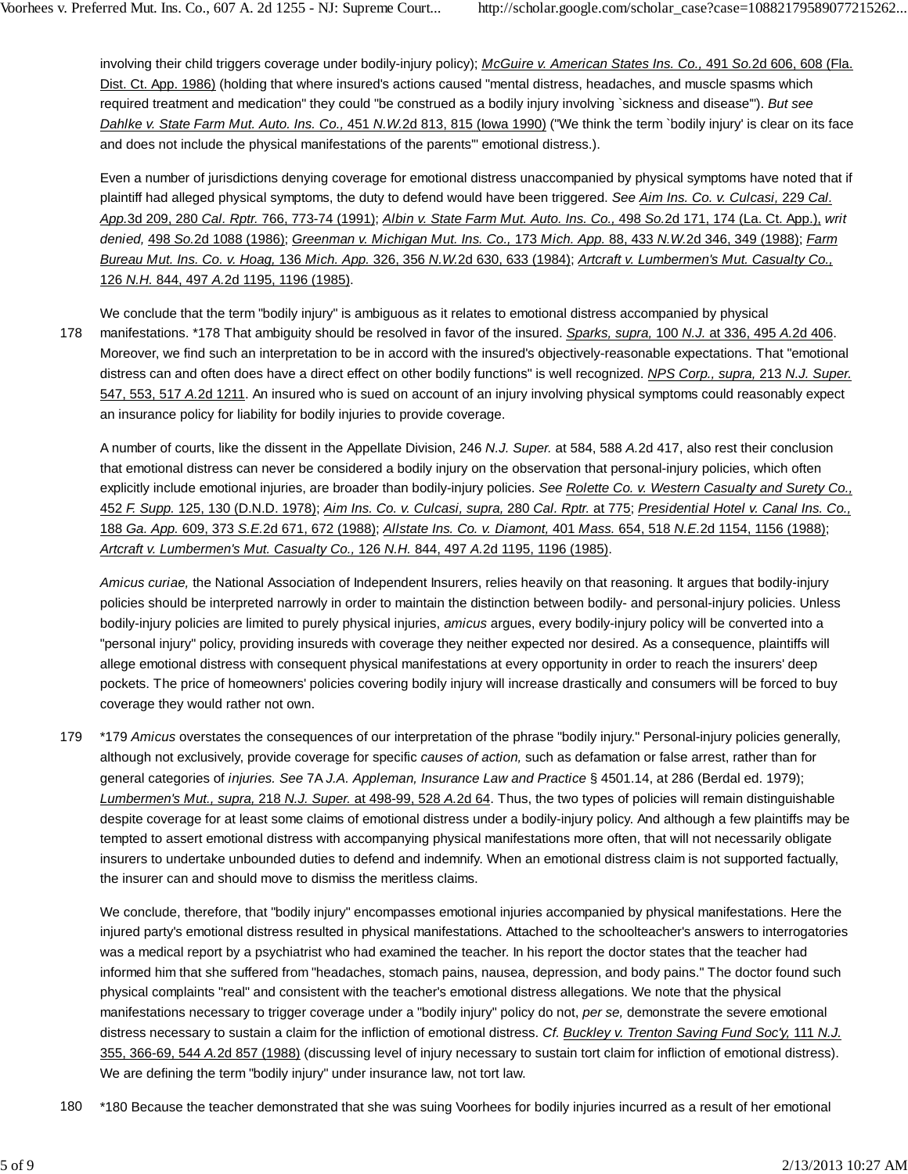involving their child triggers coverage under bodily-injury policy); *McGuire v. American States Ins. Co.,* 491 *So.*2d 606, 608 (Fla. Dist. Ct. App. 1986) (holding that where insured's actions caused "mental distress, headaches, and muscle spasms which required treatment and medication" they could "be construed as a bodily injury involving `sickness and disease'"). *But see Dahlke v. State Farm Mut. Auto. Ins. Co.,* 451 *N.W.*2d 813, 815 (Iowa 1990) ("We think the term `bodily injury' is clear on its face and does not include the physical manifestations of the parents'" emotional distress.).

Even a number of jurisdictions denying coverage for emotional distress unaccompanied by physical symptoms have noted that if plaintiff had alleged physical symptoms, the duty to defend would have been triggered. *See Aim Ins. Co. v. Culcasi,* 229 *Cal. App.*3d 209, 280 *Cal. Rptr.* 766, 773-74 (1991); *Albin v. State Farm Mut. Auto. Ins. Co.,* 498 *So.*2d 171, 174 (La. Ct. App.), *writ denied,* 498 *So.*2d 1088 (1986); *Greenman v. Michigan Mut. Ins. Co.,* 173 *Mich. App.* 88, 433 *N.W.*2d 346, 349 (1988); *Farm Bureau Mut. Ins. Co. v. Hoag,* 136 *Mich. App.* 326, 356 *N.W.*2d 630, 633 (1984); *Artcraft v. Lumbermen's Mut. Casualty Co.,* 126 *N.H.* 844, 497 *A.*2d 1195, 1196 (1985).

We conclude that the term "bodily injury" is ambiguous as it relates to emotional distress accompanied by physical manifestations. \*178 That ambiguity should be resolved in favor of the insured. *Sparks, supra,* 100 *N.J.* at 336, 495 *A.*2d 406. Moreover, we find such an interpretation to be in accord with the insured's objectively-reasonable expectations. That "emotional distress can and often does have a direct effect on other bodily functions" is well recognized. *NPS Corp., supra,* 213 *N.J. Super.* 547, 553, 517 *A.*2d 1211. An insured who is sued on account of an injury involving physical symptoms could reasonably expect an insurance policy for liability for bodily injuries to provide coverage. 178

A number of courts, like the dissent in the Appellate Division, 246 *N.J. Super.* at 584, 588 *A.*2d 417, also rest their conclusion that emotional distress can never be considered a bodily injury on the observation that personal-injury policies, which often explicitly include emotional injuries, are broader than bodily-injury policies. *See Rolette Co. v. Western Casualty and Surety Co.,* 452 *F. Supp.* 125, 130 (D.N.D. 1978); *Aim Ins. Co. v. Culcasi, supra,* 280 *Cal. Rptr.* at 775; *Presidential Hotel v. Canal Ins. Co.,* 188 *Ga. App.* 609, 373 *S.E.*2d 671, 672 (1988); *Allstate Ins. Co. v. Diamont,* 401 *Mass.* 654, 518 *N.E.*2d 1154, 1156 (1988); *Artcraft v. Lumbermen's Mut. Casualty Co.,* 126 *N.H.* 844, 497 *A.*2d 1195, 1196 (1985).

*Amicus curiae,* the National Association of Independent Insurers, relies heavily on that reasoning. It argues that bodily-injury policies should be interpreted narrowly in order to maintain the distinction between bodily- and personal-injury policies. Unless bodily-injury policies are limited to purely physical injuries, *amicus* argues, every bodily-injury policy will be converted into a "personal injury" policy, providing insureds with coverage they neither expected nor desired. As a consequence, plaintiffs will allege emotional distress with consequent physical manifestations at every opportunity in order to reach the insurers' deep pockets. The price of homeowners' policies covering bodily injury will increase drastically and consumers will be forced to buy coverage they would rather not own.

\*179 *Amicus* overstates the consequences of our interpretation of the phrase "bodily injury." Personal-injury policies generally, although not exclusively, provide coverage for specific *causes of action,* such as defamation or false arrest, rather than for general categories of *injuries. See* 7A *J.A. Appleman, Insurance Law and Practice* § 4501.14, at 286 (Berdal ed. 1979); *Lumbermen's Mut., supra,* 218 *N.J. Super.* at 498-99, 528 *A.*2d 64. Thus, the two types of policies will remain distinguishable despite coverage for at least some claims of emotional distress under a bodily-injury policy. And although a few plaintiffs may be tempted to assert emotional distress with accompanying physical manifestations more often, that will not necessarily obligate insurers to undertake unbounded duties to defend and indemnify. When an emotional distress claim is not supported factually, the insurer can and should move to dismiss the meritless claims. 179

We conclude, therefore, that "bodily injury" encompasses emotional injuries accompanied by physical manifestations. Here the injured party's emotional distress resulted in physical manifestations. Attached to the schoolteacher's answers to interrogatories was a medical report by a psychiatrist who had examined the teacher. In his report the doctor states that the teacher had informed him that she suffered from "headaches, stomach pains, nausea, depression, and body pains." The doctor found such physical complaints "real" and consistent with the teacher's emotional distress allegations. We note that the physical manifestations necessary to trigger coverage under a "bodily injury" policy do not, *per se,* demonstrate the severe emotional distress necessary to sustain a claim for the infliction of emotional distress. *Cf. Buckley v. Trenton Saving Fund Soc'y,* 111 *N.J.* 355, 366-69, 544 *A.*2d 857 (1988) (discussing level of injury necessary to sustain tort claim for infliction of emotional distress). We are defining the term "bodily injury" under insurance law, not tort law.

180 \*180 Because the teacher demonstrated that she was suing Voorhees for bodily injuries incurred as a result of her emotional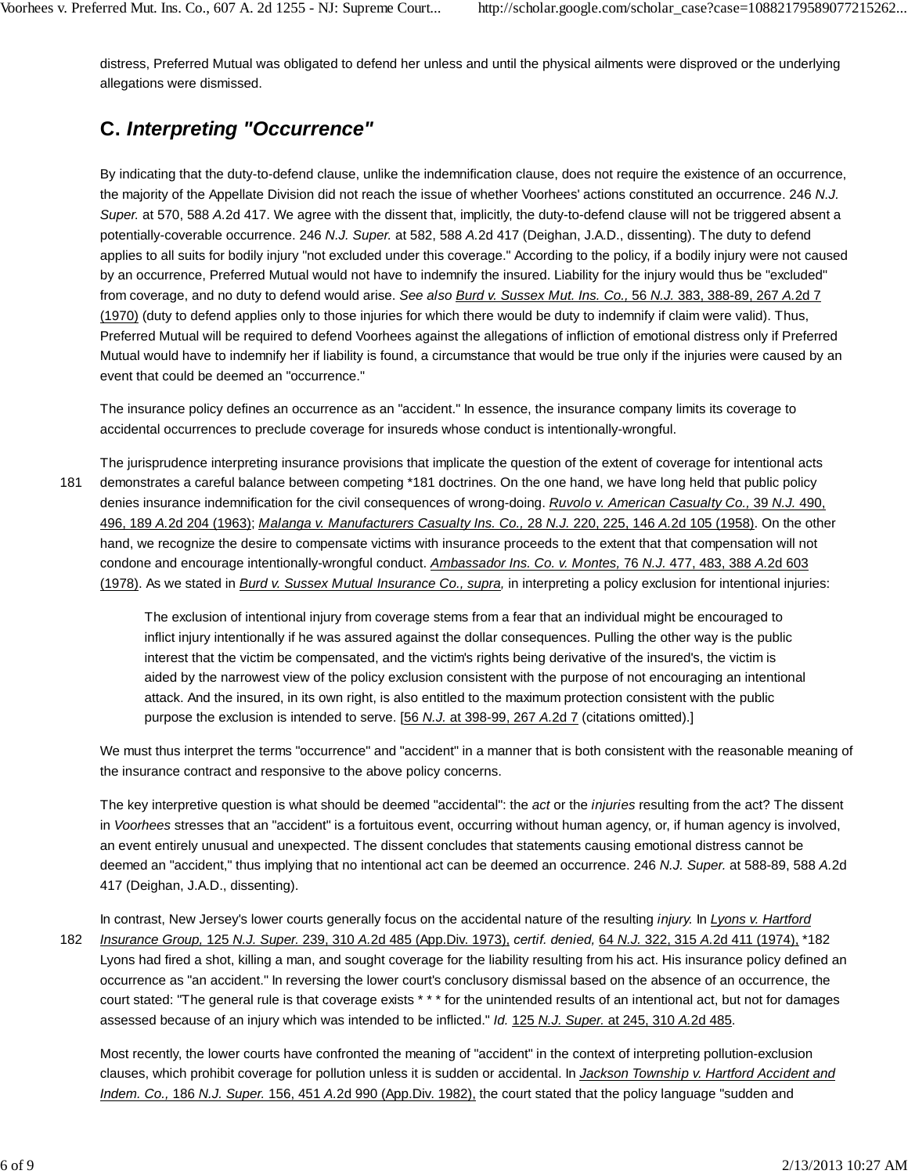distress, Preferred Mutual was obligated to defend her unless and until the physical ailments were disproved or the underlying allegations were dismissed.

# **C.** *Interpreting "Occurrence"*

By indicating that the duty-to-defend clause, unlike the indemnification clause, does not require the existence of an occurrence, the majority of the Appellate Division did not reach the issue of whether Voorhees' actions constituted an occurrence. 246 *N.J. Super.* at 570, 588 *A.*2d 417. We agree with the dissent that, implicitly, the duty-to-defend clause will not be triggered absent a potentially-coverable occurrence. 246 *N.J. Super.* at 582, 588 *A.*2d 417 (Deighan, J.A.D., dissenting). The duty to defend applies to all suits for bodily injury "not excluded under this coverage." According to the policy, if a bodily injury were not caused by an occurrence, Preferred Mutual would not have to indemnify the insured. Liability for the injury would thus be "excluded" from coverage, and no duty to defend would arise. *See also Burd v. Sussex Mut. Ins. Co.,* 56 *N.J.* 383, 388-89, 267 *A.*2d 7 (1970) (duty to defend applies only to those injuries for which there would be duty to indemnify if claim were valid). Thus, Preferred Mutual will be required to defend Voorhees against the allegations of infliction of emotional distress only if Preferred Mutual would have to indemnify her if liability is found, a circumstance that would be true only if the injuries were caused by an event that could be deemed an "occurrence."

The insurance policy defines an occurrence as an "accident." In essence, the insurance company limits its coverage to accidental occurrences to preclude coverage for insureds whose conduct is intentionally-wrongful.

The jurisprudence interpreting insurance provisions that implicate the question of the extent of coverage for intentional acts demonstrates a careful balance between competing \*181 doctrines. On the one hand, we have long held that public policy denies insurance indemnification for the civil consequences of wrong-doing. *Ruvolo v. American Casualty Co.,* 39 *N.J.* 490, 496, 189 *A.*2d 204 (1963); *Malanga v. Manufacturers Casualty Ins. Co.,* 28 *N.J.* 220, 225, 146 *A.*2d 105 (1958). On the other hand, we recognize the desire to compensate victims with insurance proceeds to the extent that that compensation will not condone and encourage intentionally-wrongful conduct. *Ambassador Ins. Co. v. Montes,* 76 *N.J.* 477, 483, 388 *A.*2d 603 (1978). As we stated in *Burd v. Sussex Mutual Insurance Co., supra,* in interpreting a policy exclusion for intentional injuries: 181

> The exclusion of intentional injury from coverage stems from a fear that an individual might be encouraged to inflict injury intentionally if he was assured against the dollar consequences. Pulling the other way is the public interest that the victim be compensated, and the victim's rights being derivative of the insured's, the victim is aided by the narrowest view of the policy exclusion consistent with the purpose of not encouraging an intentional attack. And the insured, in its own right, is also entitled to the maximum protection consistent with the public purpose the exclusion is intended to serve. [56 *N.J.* at 398-99, 267 *A.*2d 7 (citations omitted).]

We must thus interpret the terms "occurrence" and "accident" in a manner that is both consistent with the reasonable meaning of the insurance contract and responsive to the above policy concerns.

The key interpretive question is what should be deemed "accidental": the *act* or the *injuries* resulting from the act? The dissent in *Voorhees* stresses that an "accident" is a fortuitous event, occurring without human agency, or, if human agency is involved, an event entirely unusual and unexpected. The dissent concludes that statements causing emotional distress cannot be deemed an "accident," thus implying that no intentional act can be deemed an occurrence. 246 *N.J. Super.* at 588-89, 588 *A.*2d 417 (Deighan, J.A.D., dissenting).

182

In contrast, New Jersey's lower courts generally focus on the accidental nature of the resulting *injury.* In *Lyons v. Hartford*

*Insurance Group,* 125 *N.J. Super.* 239, 310 *A.*2d 485 (App.Div. 1973), *certif. denied,* 64 *N.J.* 322, 315 *A.*2d 411 (1974), \*182 Lyons had fired a shot, killing a man, and sought coverage for the liability resulting from his act. His insurance policy defined an occurrence as "an accident." In reversing the lower court's conclusory dismissal based on the absence of an occurrence, the court stated: "The general rule is that coverage exists \* \* \* for the unintended results of an intentional act, but not for damages assessed because of an injury which was intended to be inflicted." *Id.* 125 *N.J. Super.* at 245, 310 *A.*2d 485.

Most recently, the lower courts have confronted the meaning of "accident" in the context of interpreting pollution-exclusion clauses, which prohibit coverage for pollution unless it is sudden or accidental. In *Jackson Township v. Hartford Accident and Indem. Co.,* 186 *N.J. Super.* 156, 451 *A.*2d 990 (App.Div. 1982), the court stated that the policy language "sudden and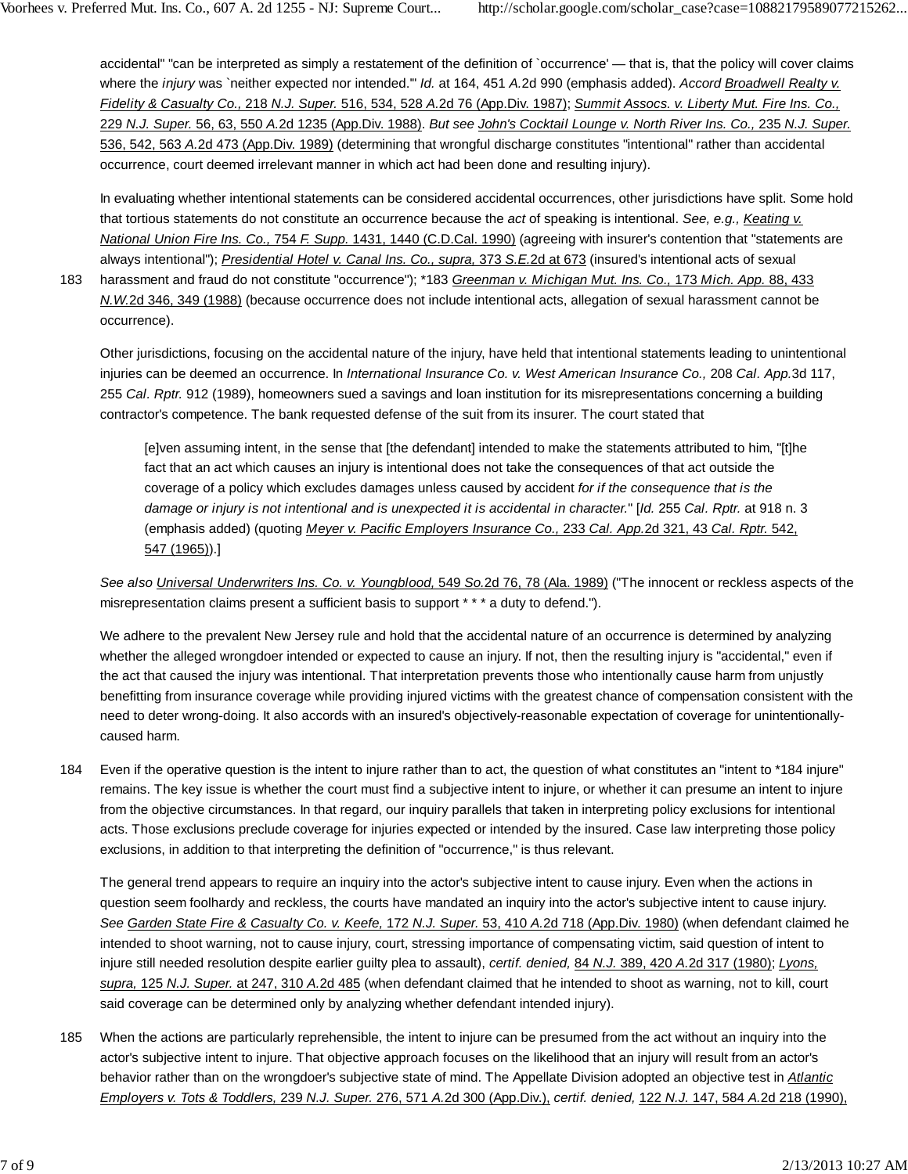accidental" "can be interpreted as simply a restatement of the definition of `occurrence' — that is, that the policy will cover claims where the *injury* was `neither expected nor intended.'" *Id.* at 164, 451 *A.*2d 990 (emphasis added). *Accord Broadwell Realty v. Fidelity & Casualty Co.,* 218 *N.J. Super.* 516, 534, 528 *A.*2d 76 (App.Div. 1987); *Summit Assocs. v. Liberty Mut. Fire Ins. Co.,* 229 *N.J. Super.* 56, 63, 550 *A.*2d 1235 (App.Div. 1988). *But see John's Cocktail Lounge v. North River Ins. Co.,* 235 *N.J. Super.* 536, 542, 563 *A.*2d 473 (App.Div. 1989) (determining that wrongful discharge constitutes "intentional" rather than accidental occurrence, court deemed irrelevant manner in which act had been done and resulting injury).

In evaluating whether intentional statements can be considered accidental occurrences, other jurisdictions have split. Some hold that tortious statements do not constitute an occurrence because the *act* of speaking is intentional. *See, e.g., Keating v. National Union Fire Ins. Co.,* 754 *F. Supp.* 1431, 1440 (C.D.Cal. 1990) (agreeing with insurer's contention that "statements are always intentional"); *Presidential Hotel v. Canal Ins. Co., supra,* 373 *S.E.*2d at 673 (insured's intentional acts of sexual

harassment and fraud do not constitute "occurrence"); \*183 *Greenman v. Michigan Mut. Ins. Co.,* 173 *Mich. App.* 88, 433 *N.W.*2d 346, 349 (1988) (because occurrence does not include intentional acts, allegation of sexual harassment cannot be occurrence). 183

Other jurisdictions, focusing on the accidental nature of the injury, have held that intentional statements leading to unintentional injuries can be deemed an occurrence. In *International Insurance Co. v. West American Insurance Co.,* 208 *Cal. App.*3d 117, 255 *Cal. Rptr.* 912 (1989), homeowners sued a savings and loan institution for its misrepresentations concerning a building contractor's competence. The bank requested defense of the suit from its insurer. The court stated that

[e]ven assuming intent, in the sense that [the defendant] intended to make the statements attributed to him, "[t]he fact that an act which causes an injury is intentional does not take the consequences of that act outside the coverage of a policy which excludes damages unless caused by accident *for if the consequence that is the damage or injury is not intentional and is unexpected it is accidental in character.*" [*Id.* 255 *Cal. Rptr.* at 918 n. 3 (emphasis added) (quoting *Meyer v. Pacific Employers Insurance Co.,* 233 *Cal. App.*2d 321, 43 *Cal. Rptr.* 542, 547 (1965)).]

*See also Universal Underwriters Ins. Co. v. Youngblood,* 549 *So.*2d 76, 78 (Ala. 1989) ("The innocent or reckless aspects of the misrepresentation claims present a sufficient basis to support \* \* \* a duty to defend.").

We adhere to the prevalent New Jersey rule and hold that the accidental nature of an occurrence is determined by analyzing whether the alleged wrongdoer intended or expected to cause an injury. If not, then the resulting injury is "accidental," even if the act that caused the injury was intentional. That interpretation prevents those who intentionally cause harm from unjustly benefitting from insurance coverage while providing injured victims with the greatest chance of compensation consistent with the need to deter wrong-doing. It also accords with an insured's objectively-reasonable expectation of coverage for unintentionallycaused harm.

Even if the operative question is the intent to injure rather than to act, the question of what constitutes an "intent to \*184 injure" remains. The key issue is whether the court must find a subjective intent to injure, or whether it can presume an intent to injure from the objective circumstances. In that regard, our inquiry parallels that taken in interpreting policy exclusions for intentional acts. Those exclusions preclude coverage for injuries expected or intended by the insured. Case law interpreting those policy exclusions, in addition to that interpreting the definition of "occurrence," is thus relevant. 184

The general trend appears to require an inquiry into the actor's subjective intent to cause injury. Even when the actions in question seem foolhardy and reckless, the courts have mandated an inquiry into the actor's subjective intent to cause injury. *See Garden State Fire & Casualty Co. v. Keefe,* 172 *N.J. Super.* 53, 410 *A.*2d 718 (App.Div. 1980) (when defendant claimed he intended to shoot warning, not to cause injury, court, stressing importance of compensating victim, said question of intent to injure still needed resolution despite earlier guilty plea to assault), *certif. denied,* 84 *N.J.* 389, 420 *A.*2d 317 (1980); *Lyons, supra,* 125 *N.J. Super.* at 247, 310 *A.*2d 485 (when defendant claimed that he intended to shoot as warning, not to kill, court said coverage can be determined only by analyzing whether defendant intended injury).

When the actions are particularly reprehensible, the intent to injure can be presumed from the act without an inquiry into the actor's subjective intent to injure. That objective approach focuses on the likelihood that an injury will result from an actor's behavior rather than on the wrongdoer's subjective state of mind. The Appellate Division adopted an objective test in *Atlantic Employers v. Tots & Toddlers,* 239 *N.J. Super.* 276, 571 *A.*2d 300 (App.Div.), *certif. denied,* 122 *N.J.* 147, 584 *A.*2d 218 (1990), 185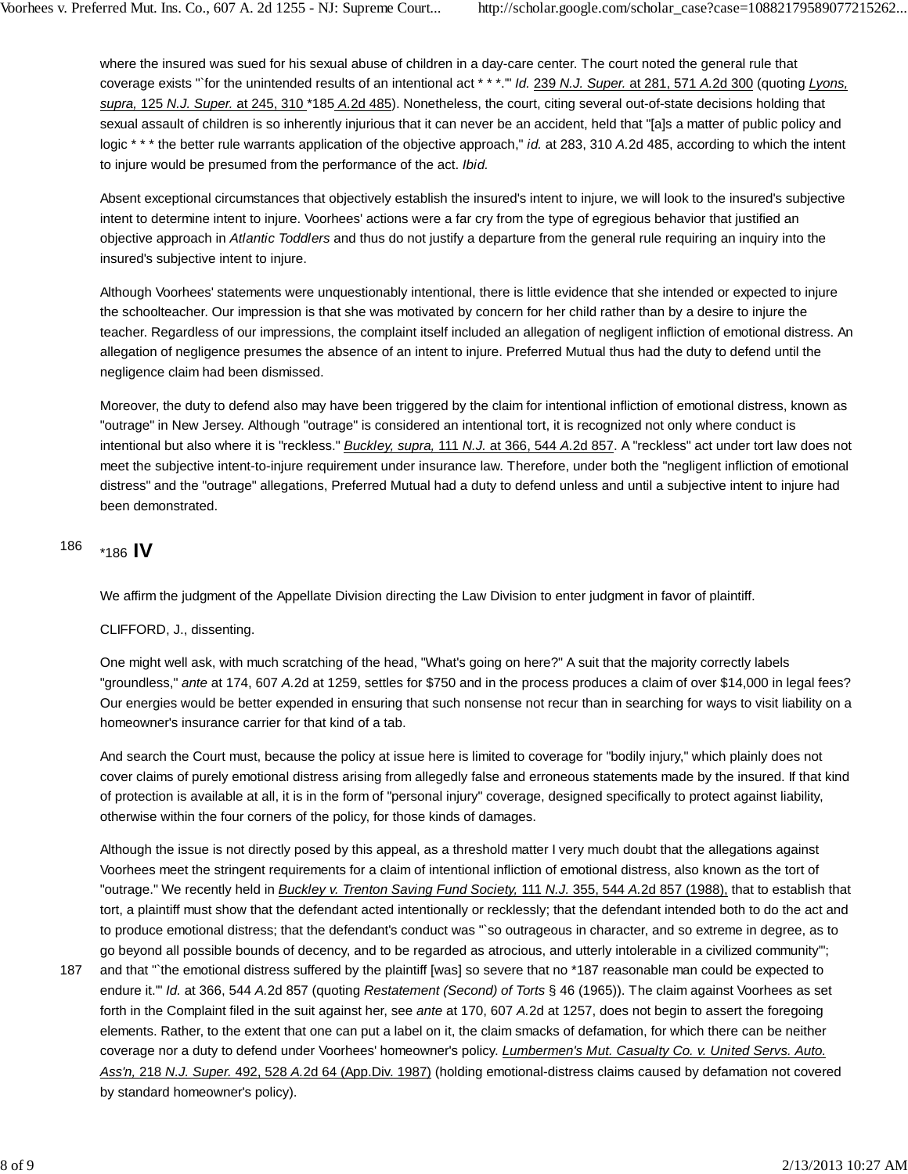where the insured was sued for his sexual abuse of children in a day-care center. The court noted the general rule that coverage exists "`for the unintended results of an intentional act \* \* \*.'" *Id.* 239 *N.J. Super.* at 281, 571 *A.*2d 300 (quoting *Lyons, supra,* 125 *N.J. Super.* at 245, 310 \*185 *A.*2d 485). Nonetheless, the court, citing several out-of-state decisions holding that sexual assault of children is so inherently injurious that it can never be an accident, held that "[a]s a matter of public policy and logic \* \* \* the better rule warrants application of the objective approach," *id.* at 283, 310 *A.*2d 485, according to which the intent to injure would be presumed from the performance of the act. *Ibid.*

Absent exceptional circumstances that objectively establish the insured's intent to injure, we will look to the insured's subjective intent to determine intent to injure. Voorhees' actions were a far cry from the type of egregious behavior that justified an objective approach in *Atlantic Toddlers* and thus do not justify a departure from the general rule requiring an inquiry into the insured's subjective intent to injure.

Although Voorhees' statements were unquestionably intentional, there is little evidence that she intended or expected to injure the schoolteacher. Our impression is that she was motivated by concern for her child rather than by a desire to injure the teacher. Regardless of our impressions, the complaint itself included an allegation of negligent infliction of emotional distress. An allegation of negligence presumes the absence of an intent to injure. Preferred Mutual thus had the duty to defend until the negligence claim had been dismissed.

Moreover, the duty to defend also may have been triggered by the claim for intentional infliction of emotional distress, known as "outrage" in New Jersey. Although "outrage" is considered an intentional tort, it is recognized not only where conduct is intentional but also where it is "reckless." *Buckley, supra,* 111 *N.J.* at 366, 544 *A.*2d 857. A "reckless" act under tort law does not meet the subjective intent-to-injure requirement under insurance law. Therefore, under both the "negligent infliction of emotional distress" and the "outrage" allegations, Preferred Mutual had a duty to defend unless and until a subjective intent to injure had been demonstrated.

### \*186 **IV** <sup>186</sup>

We affirm the judgment of the Appellate Division directing the Law Division to enter judgment in favor of plaintiff.

#### CLIFFORD, J., dissenting.

One might well ask, with much scratching of the head, "What's going on here?" A suit that the majority correctly labels "groundless," *ante* at 174, 607 *A.*2d at 1259, settles for \$750 and in the process produces a claim of over \$14,000 in legal fees? Our energies would be better expended in ensuring that such nonsense not recur than in searching for ways to visit liability on a homeowner's insurance carrier for that kind of a tab.

And search the Court must, because the policy at issue here is limited to coverage for "bodily injury," which plainly does not cover claims of purely emotional distress arising from allegedly false and erroneous statements made by the insured. If that kind of protection is available at all, it is in the form of "personal injury" coverage, designed specifically to protect against liability, otherwise within the four corners of the policy, for those kinds of damages.

Although the issue is not directly posed by this appeal, as a threshold matter I very much doubt that the allegations against Voorhees meet the stringent requirements for a claim of intentional infliction of emotional distress, also known as the tort of "outrage." We recently held in *Buckley v. Trenton Saving Fund Society,* 111 *N.J.* 355, 544 *A.*2d 857 (1988), that to establish that tort, a plaintiff must show that the defendant acted intentionally or recklessly; that the defendant intended both to do the act and to produce emotional distress; that the defendant's conduct was "`so outrageous in character, and so extreme in degree, as to go beyond all possible bounds of decency, and to be regarded as atrocious, and utterly intolerable in a civilized community'";

187

and that "`the emotional distress suffered by the plaintiff [was] so severe that no \*187 reasonable man could be expected to endure it.'" *Id.* at 366, 544 *A.*2d 857 (quoting *Restatement (Second) of Torts* § 46 (1965)). The claim against Voorhees as set forth in the Complaint filed in the suit against her, see *ante* at 170, 607 *A.*2d at 1257, does not begin to assert the foregoing elements. Rather, to the extent that one can put a label on it, the claim smacks of defamation, for which there can be neither coverage nor a duty to defend under Voorhees' homeowner's policy. *Lumbermen's Mut. Casualty Co. v. United Servs. Auto. Ass'n,* 218 *N.J. Super.* 492, 528 *A.*2d 64 (App.Div. 1987) (holding emotional-distress claims caused by defamation not covered by standard homeowner's policy).